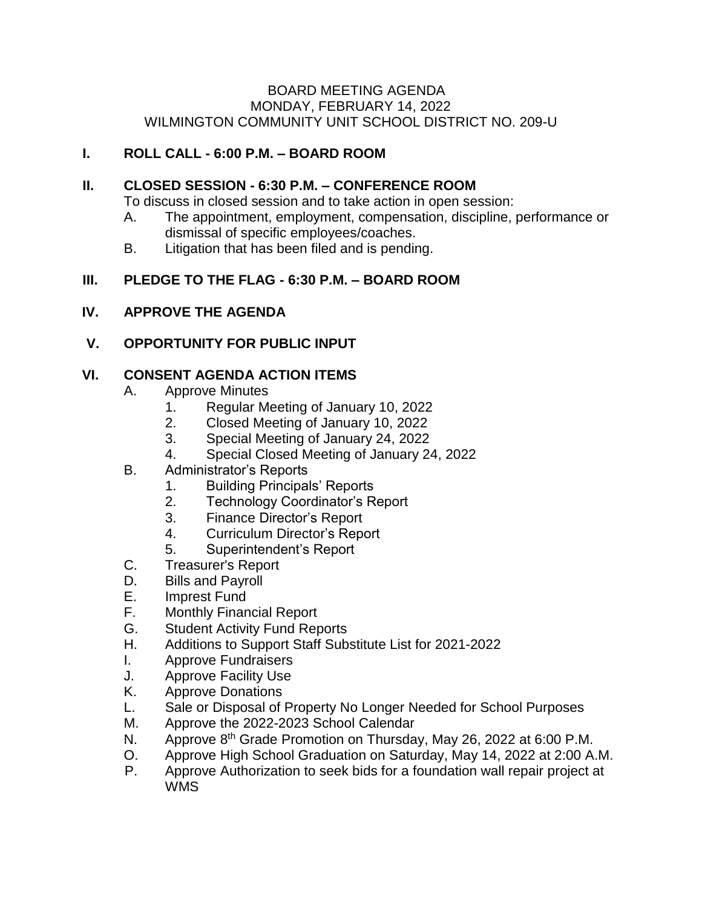#### BOARD MEETING AGENDA MONDAY, FEBRUARY 14, 2022 WILMINGTON COMMUNITY UNIT SCHOOL DISTRICT NO. 209-U

# **I. ROLL CALL - 6:00 P.M. – BOARD ROOM**

### **II. CLOSED SESSION - 6:30 P.M. – CONFERENCE ROOM**

To discuss in closed session and to take action in open session:

- A. The appointment, employment, compensation, discipline, performance or dismissal of specific employees/coaches.
- B. Litigation that has been filed and is pending.

# **III. PLEDGE TO THE FLAG - 6:30 P.M. – BOARD ROOM**

### **IV. APPROVE THE AGENDA**

# **V. OPPORTUNITY FOR PUBLIC INPUT**

# **VI. CONSENT AGENDA ACTION ITEMS**

- A. Approve Minutes
	- 1. Regular Meeting of January 10, 2022
	- 2. Closed Meeting of January 10, 2022
	- 3. Special Meeting of January 24, 2022
	- 4. Special Closed Meeting of January 24, 2022
- B. Administrator's Reports
	- 1. Building Principals' Reports
	- 2. Technology Coordinator's Report
	- 3. Finance Director's Report
	- 4. Curriculum Director's Report
	- 5. Superintendent's Report
- C. Treasurer's Report
- D. Bills and Payroll
- E. Imprest Fund
- F. Monthly Financial Report
- G. Student Activity Fund Reports
- H. Additions to Support Staff Substitute List for 2021-2022
- I. Approve Fundraisers
- J. Approve Facility Use
- K. Approve Donations
- L. Sale or Disposal of Property No Longer Needed for School Purposes
- M. Approve the 2022-2023 School Calendar
- N. Approve 8<sup>th</sup> Grade Promotion on Thursday, May 26, 2022 at 6:00 P.M.
- O. Approve High School Graduation on Saturday, May 14, 2022 at 2:00 A.M.
- P. Approve Authorization to seek bids for a foundation wall repair project at WMS